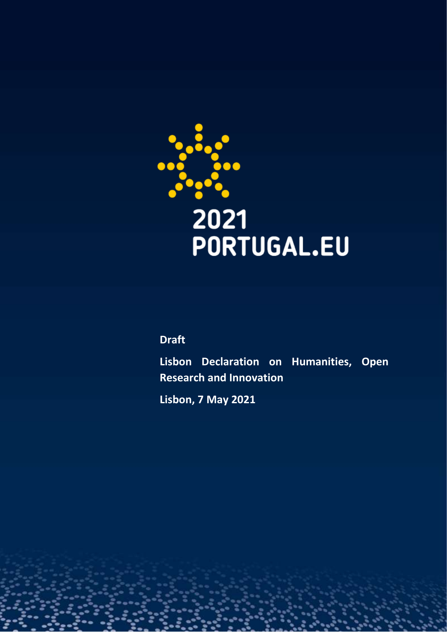

## **Draft**

**Lisbon Declaration on Humanities, Open Research and Innovation**

**Lisbon, 7 May 2021**

1 **www.2021portugal.eu**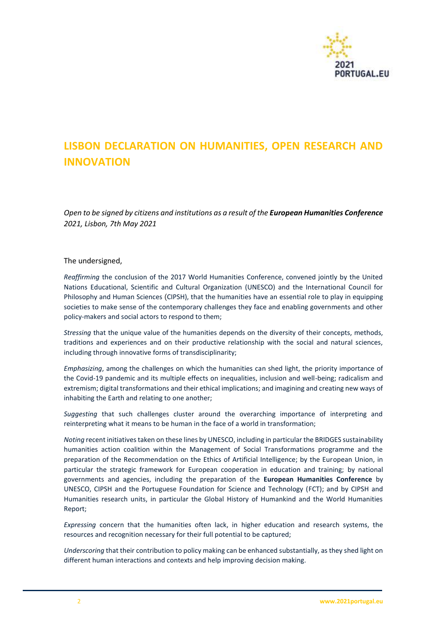

## **LISBON DECLARATION ON HUMANITIES, OPEN RESEARCH AND INNOVATION**

*Open to be signed by citizens and institutions as a result of the European Humanities Conference 2021, Lisbon, 7th May 2021*

The undersigned,

*Reaffirming* the conclusion of the 2017 World Humanities Conference, convened jointly by the United Nations Educational, Scientific and Cultural Organization (UNESCO) and the International Council for Philosophy and Human Sciences (CIPSH), that the humanities have an essential role to play in equipping societies to make sense of the contemporary challenges they face and enabling governments and other policy-makers and social actors to respond to them;

*Stressing* that the unique value of the humanities depends on the diversity of their concepts, methods, traditions and experiences and on their productive relationship with the social and natural sciences, including through innovative forms of transdisciplinarity;

*Emphasizing*, among the challenges on which the humanities can shed light, the priority importance of the Covid-19 pandemic and its multiple effects on inequalities, inclusion and well-being; radicalism and extremism; digital transformations and their ethical implications; and imagining and creating new ways of inhabiting the Earth and relating to one another;

*Suggesting* that such challenges cluster around the overarching importance of interpreting and reinterpreting what it means to be human in the face of a world in transformation;

*Noting* recent initiatives taken on these lines by UNESCO, including in particular the BRIDGES sustainability humanities action coalition within the Management of Social Transformations programme and the preparation of the Recommendation on the Ethics of Artificial Intelligence; by the European Union, in particular the strategic framework for European cooperation in education and training; by national governments and agencies, including the preparation of the **European Humanities Conference** by UNESCO, CIPSH and the Portuguese Foundation for Science and Technology (FCT); and by CIPSH and Humanities research units, in particular the Global History of Humankind and the World Humanities Report;

*Expressing* concern that the humanities often lack, in higher education and research systems, the resources and recognition necessary for their full potential to be captured;

*Underscoring* that their contribution to policy making can be enhanced substantially, as they shed light on different human interactions and contexts and help improving decision making.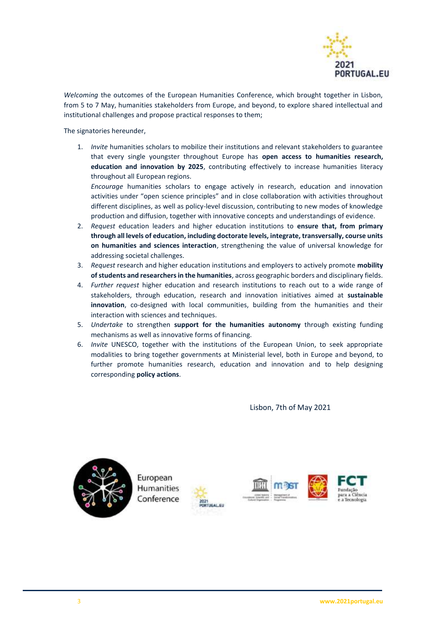

*Welcoming* the outcomes of the European Humanities Conference, which brought together in Lisbon, from 5 to 7 May, humanities stakeholders from Europe, and beyond, to explore shared intellectual and institutional challenges and propose practical responses to them;

The signatories hereunder,

1. *Invite* humanities scholars to mobilize their institutions and relevant stakeholders to guarantee that every single youngster throughout Europe has **open access to humanities research, education and innovation by 2025**, contributing effectively to increase humanities literacy throughout all European regions.

*Encourage* humanities scholars to engage actively in research, education and innovation activities under "open science principles" and in close collaboration with activities throughout different disciplines, as well as policy-level discussion, contributing to new modes of knowledge production and diffusion, together with innovative concepts and understandings of evidence.

- 2. *Request* education leaders and higher education institutions to **ensure that, from primary through all levels of education, including doctorate levels, integrate, transversally, course units on humanities and sciences interaction**, strengthening the value of universal knowledge for addressing societal challenges.
- 3. *Request* research and higher education institutions and employers to actively promote **mobility of students and researchers in the humanities**, across geographic borders and disciplinary fields.
- 4. *Further request* higher education and research institutions to reach out to a wide range of stakeholders, through education, research and innovation initiatives aimed at **sustainable innovation**, co-designed with local communities, building from the humanities and their interaction with sciences and techniques.
- 5. *Undertake* to strengthen **support for the humanities autonomy** through existing funding mechanisms as well as innovative forms of financing.
- 6. *Invite* UNESCO, together with the institutions of the European Union, to seek appropriate modalities to bring together governments at Ministerial level, both in Europe and beyond, to further promote humanities research, education and innovation and to help designing corresponding **policy actions**.

Lisbon, 7th of May 2021



**Humanities** Conference